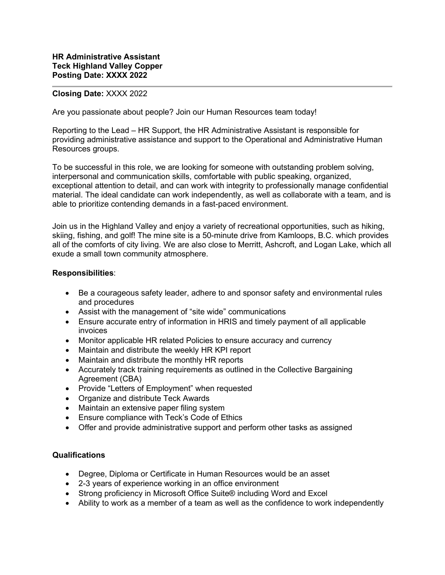## **Closing Date:** XXXX 2022

Are you passionate about people? Join our Human Resources team today!

Reporting to the Lead – HR Support, the HR Administrative Assistant is responsible for providing administrative assistance and support to the Operational and Administrative Human Resources groups.

To be successful in this role, we are looking for someone with outstanding problem solving, interpersonal and communication skills, comfortable with public speaking, organized, exceptional attention to detail, and can work with integrity to professionally manage confidential material. The ideal candidate can work independently, as well as collaborate with a team, and is able to prioritize contending demands in a fast-paced environment.

Join us in the Highland Valley and enjoy a variety of recreational opportunities, such as hiking, skiing, fishing, and golf! The mine site is a 50-minute drive from Kamloops, B.C. which provides all of the comforts of city living. We are also close to Merritt, Ashcroft, and Logan Lake, which all exude a small town community atmosphere.

## **Responsibilities**:

- Be a courageous safety leader, adhere to and sponsor safety and environmental rules and procedures
- Assist with the management of "site wide" communications
- Ensure accurate entry of information in HRIS and timely payment of all applicable invoices
- Monitor applicable HR related Policies to ensure accuracy and currency
- Maintain and distribute the weekly HR KPI report
- Maintain and distribute the monthly HR reports
- Accurately track training requirements as outlined in the Collective Bargaining Agreement (CBA)
- Provide "Letters of Employment" when requested
- Organize and distribute Teck Awards
- Maintain an extensive paper filing system
- Ensure compliance with Teck's Code of Ethics
- Offer and provide administrative support and perform other tasks as assigned

## **Qualifications**

- Degree, Diploma or Certificate in Human Resources would be an asset
- 2-3 years of experience working in an office environment
- Strong proficiency in Microsoft Office Suite® including Word and Excel
- Ability to work as a member of a team as well as the confidence to work independently